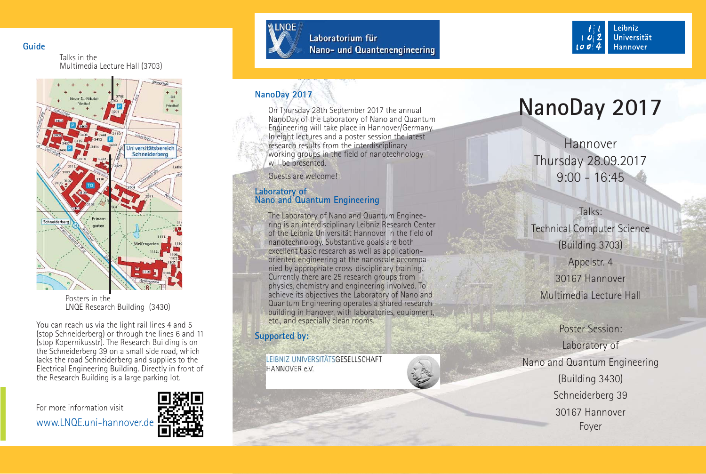**Guide**

Talks in the Multimedia Lecture Hall (3703)



Posters in the LNQE Research Building (3430)

You can reach us via the light rail lines 4 and 5 (stop Schneiderberg) or through the lines 6 and 11 (stop Kopernikusstr). The Research Building is on the Schneiderberg 39 on a small side road, which lacks the road Schneiderberg and supplies to the Electrical Engineering Building. Directly in front of the Research Building is a large parking lot.

For more information visit

www.LNQE.uni-hannover.de





Laboratorium für Nano- und Quantenengineering



# **NanoDay 2017**

On Thursday 28th September 2017 the annual NanoDay of the Laboratory of Nano and Quantum Engineering will take place in Hannover/Germany. In eight lectures and a poster session the latest research results from the interdisciplinary working groups in the field of nanotechnology will be presented.

Guests are welcome!

# **Laboratory of Nano and Quantum Engineering**

The Laboratory of Nano and Quantum Engineering is an interdisciplinary Leibniz Research Center of the Leibniz Universität Hannover in the field of nanotechnology. Substantive goals are both excellent basic research as well as applicationoriented engineering at the nanoscale accompanied by appropriate cross-disciplinary training. Currently there are 25 research groups from physics, chemistry and engineering involved. To achieve its objectives the Laboratory of Nano and Quantum Engineering operates a shared research building in Hanover, with laboratories, equipment, etc., and especially clean rooms.

# **Supported by:**

LEIBNIZ UNIVERSITÄTSGESELLSCHAFT HANNOVER e.V.

# **NanoDay 2017**

HannoverThursday 28.09.2017 9:00 - 16:45

Talks:Technical Computer Science (Building 3703) Appelstr. 4 30167 Hannover

Multimedia Lecture Hall

Poster Session:Laboratory of Nano and Quantum Engineering (Building 3430) Schneiderberg 39 30167 HannoverFoyer